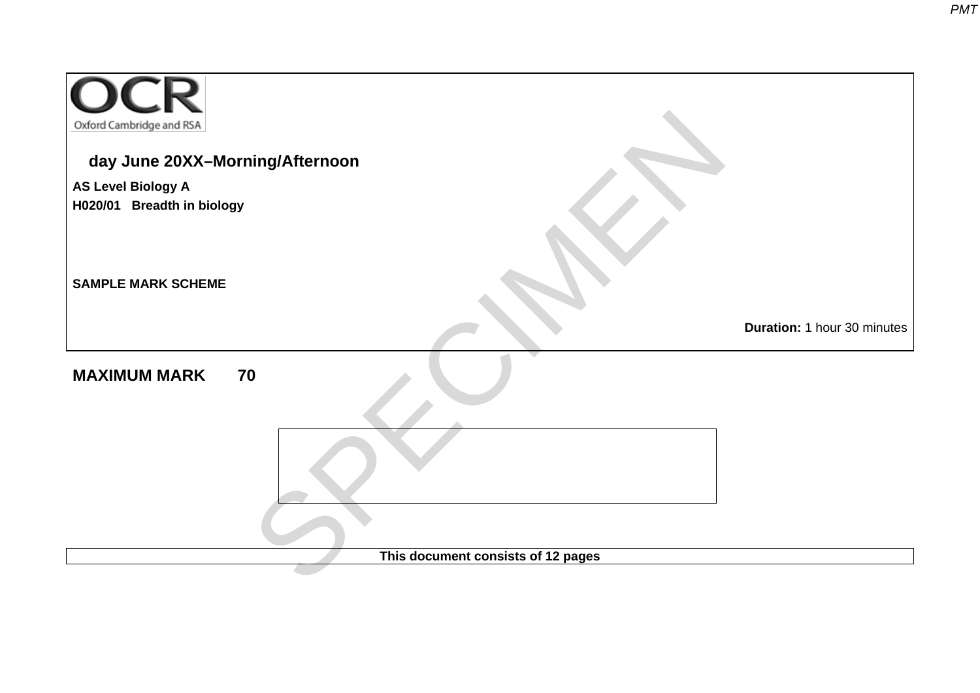| Oxford Cambridge and RSA                                |                             |
|---------------------------------------------------------|-----------------------------|
| day June 20XX-Morning/Afternoon                         |                             |
| <b>AS Level Biology A</b><br>H020/01 Breadth in biology |                             |
| <b>SAMPLE MARK SCHEME</b>                               |                             |
|                                                         | Duration: 1 hour 30 minutes |
| <b>MAXIMUM MARK</b><br>70                               |                             |
|                                                         |                             |
|                                                         |                             |
| This document consists of 12 pages                      |                             |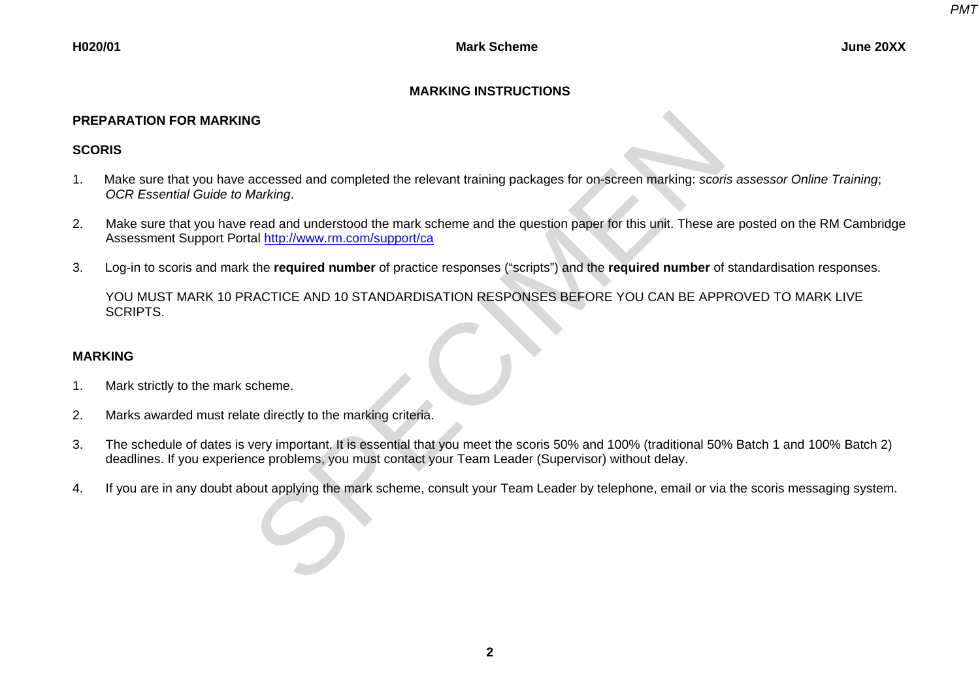# **MARKING INSTRUCTIONS**

## **PREPARATION FOR MARKING**

# **SCORIS**

- 1. Make sure that you have accessed and completed the relevant training packages for on-screen marking: *scoris assessor Online Training*; *OCR Essential Guide to Marking*.
- 2. Make sure that you have read and understood the mark scheme and the question paper for this unit. These are posted on the RM Cambridge Assessment Support Portal http://www.rm.com/support/ca REPARATION FOR MARKING<br>
1. Make sure that you have accessed and completed the relevant training packages for on-screen marking: scoris assessor Online Training;<br>
1. Make sure that you have read and underlood the mark schem
- 3. Log-in to scoris and mark the **required number** of practice responses ("scripts") and the **required number** of standardisation responses.

YOU MUST MARK 10 PRACTICE AND 10 STANDARDISATION RESPONSES BEFORE YOU CAN BE APPROVED TO MARK LIVE SCRIPTS.

### **MARKING**

- 1. Mark strictly to the mark scheme.
- 2. Marks awarded must relate directly to the marking criteria.
- 3. The schedule of dates is very important. It is essential that you meet the scoris 50% and 100% (traditional 50% Batch 1 and 100% Batch 2) deadlines. If you experience problems, you must contact your Team Leader (Supervisor) without delay.
-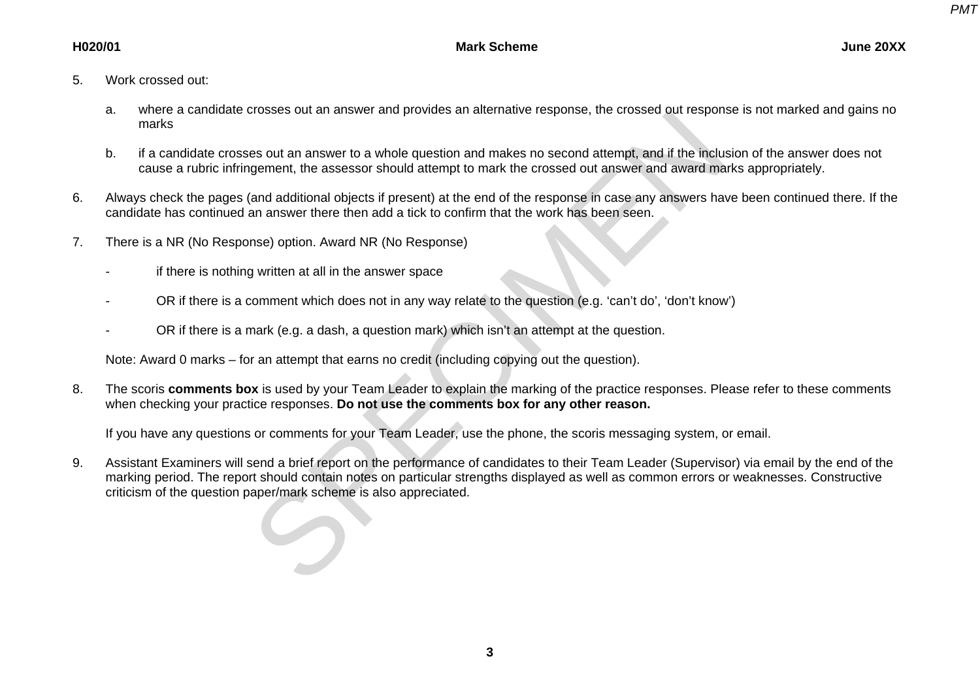- 5. Work crossed out:
	- a. where a candidate crosses out an answer and provides an alternative response, the crossed out response is not marked and gains no marks
	- b. if a candidate crosses out an answer to a whole question and makes no second attempt, and if the inclusion of the answer does not cause a rubric infringement, the assessor should attempt to mark the crossed out answer and award marks appropriately.
- 6. Always check the pages (and additional objects if present) at the end of the response in case any answers have been continued there. If the candidate has continued an answer there then add a tick to confirm that the work has been seen.
- 7. There is a NR (No Response) option. Award NR (No Response)
	- if there is nothing written at all in the answer space
	- OR if there is a comment which does not in any way relate to the question (e.g. 'can't do', 'don't know')
	- OR if there is a mark (e.g. a dash, a question mark) which isn't an attempt at the question.

Note: Award 0 marks – for an attempt that earns no credit (including copying out the question).

8. The scoris **comments box** is used by your Team Leader to explain the marking of the practice responses. Please refer to these comments when checking your practice responses. **Do not use the comments box for any other reason.**

If you have any questions or comments for your Team Leader, use the phone, the scoris messaging system, or email.

9. Assistant Examiners will send a brief report on the performance of candidates to their Team Leader (Supervisor) via email by the end of the marking period. The report should contain notes on particular strengths displayed as well as common errors or weaknesses. Constructive a. where a canotate crosses out an answer and provides an attentative response, the crossed out responsiones and the model cases and the model question and makes no second attempt, and if the includes a rubric infringement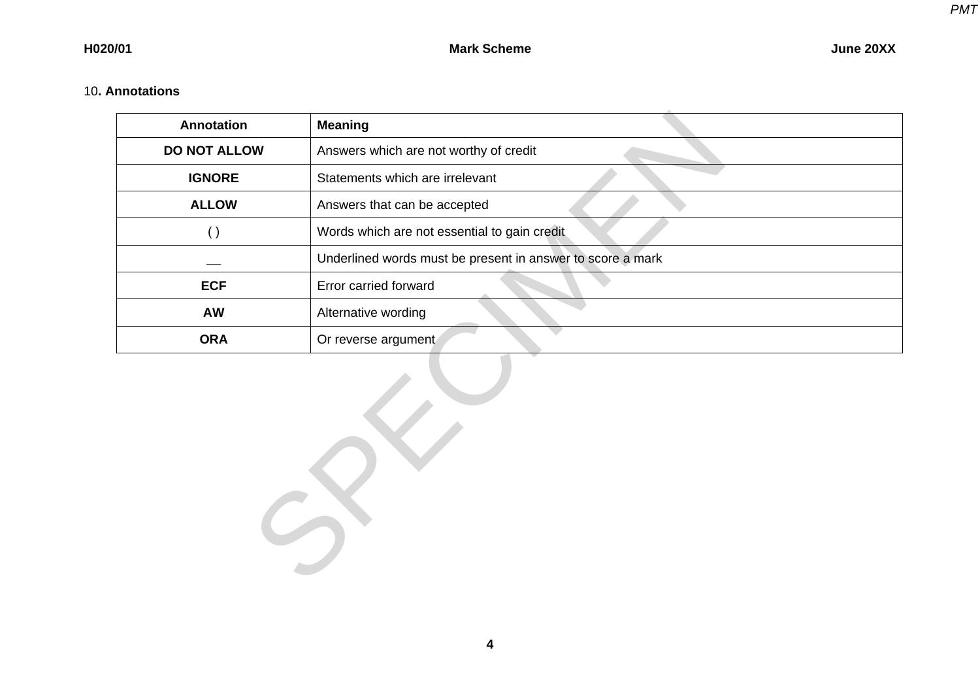# 10**. Annotations**

| Annotation          | <b>Meaning</b>                                             |
|---------------------|------------------------------------------------------------|
| <b>DO NOT ALLOW</b> | Answers which are not worthy of credit                     |
| <b>IGNORE</b>       | Statements which are irrelevant                            |
| <b>ALLOW</b>        | Answers that can be accepted                               |
| $\left( \ \right)$  | Words which are not essential to gain credit               |
|                     | Underlined words must be present in answer to score a mark |
| <b>ECF</b>          | Error carried forward                                      |
| AW                  | Alternative wording                                        |
| <b>ORA</b>          | Or reverse argument                                        |
| $\ddot{\bullet}$    |                                                            |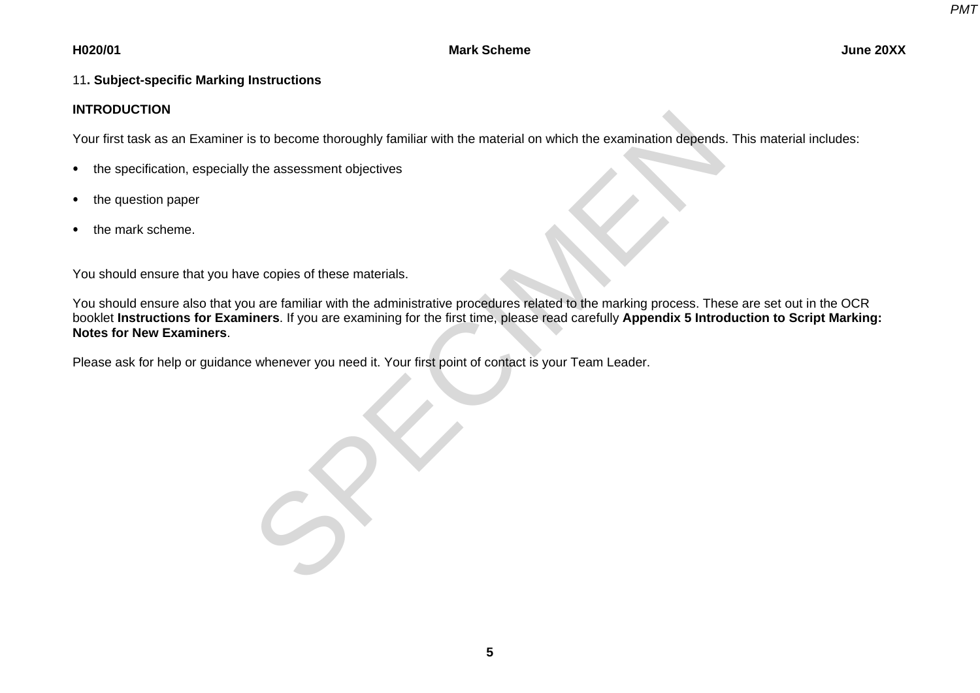### **H020/01 Mark Scheme June 20XX**

# 11**. Subject-specific Marking Instructions**

### **INTRODUCTION**

Your first task as an Examiner is to become thoroughly familiar with the material on which the examination depends. This material includes:

- the specification, especially the assessment objectives
- the question paper
- the mark scheme.

You should ensure that you have copies of these materials.

You should ensure also that you are familiar with the administrative procedures related to the marking process. These are set out in the OCR booklet **Instructions for Examiners**. If you are examining for the first time, please read carefully **Appendix 5 Introduction to Script Marking: Notes for New Examiners**. IN I KODUCTION<br>
Your first task as an Examiner is to become thoroughly familiar with the material on which the examination depends<br>
• the specification, especially the assessment objectives<br>
• the runst scheme.<br>
• You shou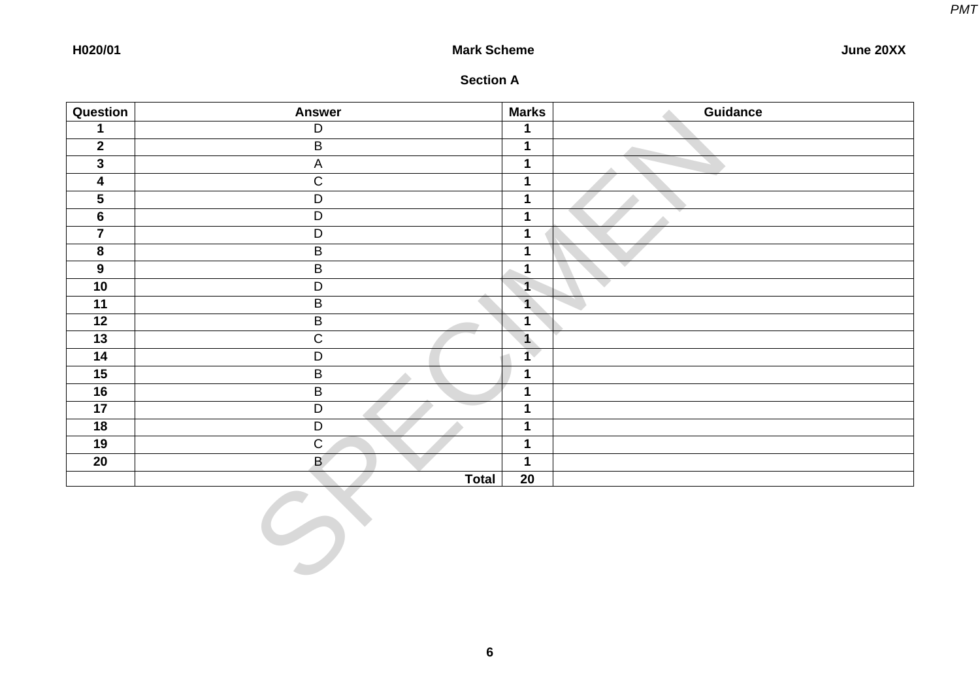### **H020/01 Mark Scheme June 20XX**

| <b>Section A</b> |  |
|------------------|--|
|------------------|--|

| Question                | <b>Answer</b>           | <b>Marks</b>            | Guidance |
|-------------------------|-------------------------|-------------------------|----------|
| $\mathbf 1$             | $\overline{D}$          | $\mathbf 1$             |          |
| $\overline{2}$          | $\overline{B}$          | $\overline{1}$          |          |
| $\overline{\mathbf{3}}$ | $\overline{A}$          | $\overline{\mathbf{1}}$ |          |
| $\overline{\mathbf{4}}$ | $\overline{C}$          | $\mathbf 1$             |          |
| $\overline{\mathbf{5}}$ | $\overline{D}$          | $\mathbf 1$             |          |
| $6\phantom{a}$          | $\overline{D}$          | $\mathbf 1$             |          |
| $\overline{7}$          | $\overline{D}$          | $\mathbf{1}$            |          |
| 8                       | $\overline{B}$          | $\mathbf 1$             |          |
| $\overline{9}$          | $\overline{B}$          | $\overline{\mathbf{1}}$ |          |
| 10                      | $\overline{D}$          | $\overline{\mathbf{1}}$ | $\sim$   |
| $\overline{11}$         | $\overline{B}$          | $\overline{1}$          |          |
| $\overline{12}$         | $\overline{\mathsf{B}}$ | $\mathbf 1$             |          |
| $\overline{13}$         | $\overline{C}$          | $\overline{\mathbf{1}}$ |          |
| $\overline{14}$         | $\overline{D}$          | 1 <sup>7</sup>          |          |
| 15                      | $\overline{B}$<br>A     | $\mathbf 1$             |          |
| 16                      | $\overline{B}$          | $\mathbf{1}$            |          |
| $\overline{17}$         | $\overline{D}$          | $\mathbf{1}$            |          |
| $\overline{18}$         | $\overline{D}$          | $\mathbf 1$             |          |
| 19                      | $\overline{C}$          | $\overline{1}$          |          |
| 20                      | $\overline{B}$          | $\mathbf 1$             |          |
|                         | <b>Total</b>            | 20                      |          |
|                         | $\leftrightarrow$       |                         |          |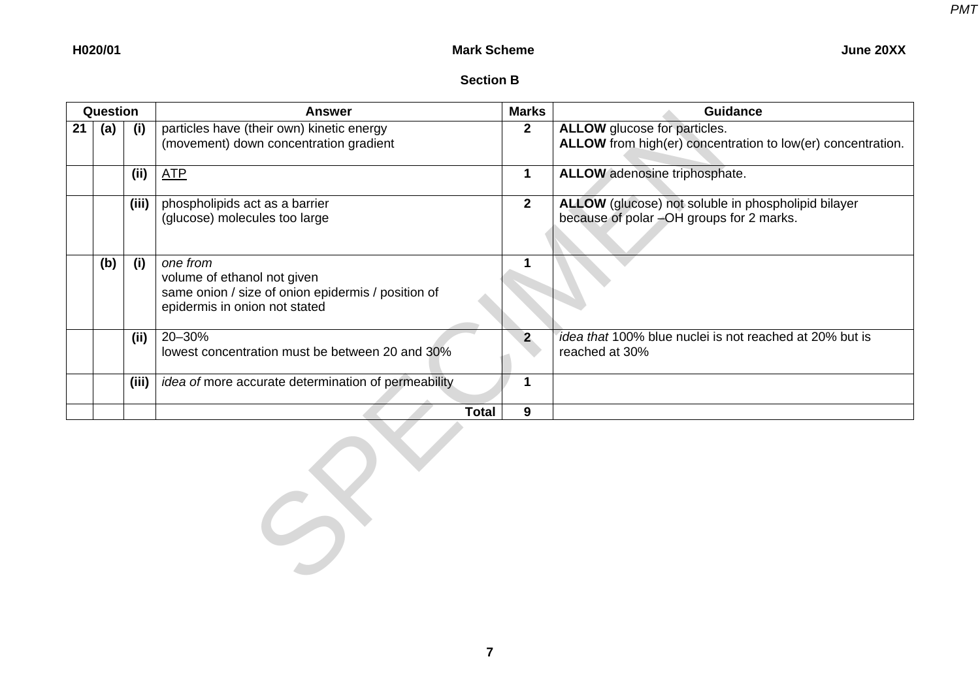# **Section B**

| Question |       | Answer                                                                                                                         | <b>Marks</b>   | <b>Guidance</b>                                                                                 |
|----------|-------|--------------------------------------------------------------------------------------------------------------------------------|----------------|-------------------------------------------------------------------------------------------------|
| (a)      | (i)   | particles have (their own) kinetic energy<br>(movement) down concentration gradient                                            | $\mathbf{2}$   | ALLOW glucose for particles.<br>ALLOW from high(er) concentration to low(er) concentration.     |
|          | (ii)  | <b>ATP</b>                                                                                                                     |                | <b>ALLOW</b> adenosine triphosphate.                                                            |
|          | (iii) | phospholipids act as a barrier<br>(glucose) molecules too large                                                                | $\overline{2}$ | ALLOW (glucose) not soluble in phospholipid bilayer<br>because of polar -OH groups for 2 marks. |
| (b)      | (i)   | one from<br>volume of ethanol not given<br>same onion / size of onion epidermis / position of<br>epidermis in onion not stated |                |                                                                                                 |
|          | (ii)  | 20-30%<br>lowest concentration must be between 20 and 30%                                                                      |                | <i>idea that</i> 100% blue nuclei is not reached at 20% but is<br>reached at 30%                |
|          | (iii) | <i>idea of more accurate determination of permeability</i>                                                                     |                |                                                                                                 |
|          |       | Total                                                                                                                          | 9              |                                                                                                 |

 $S^{\vee}$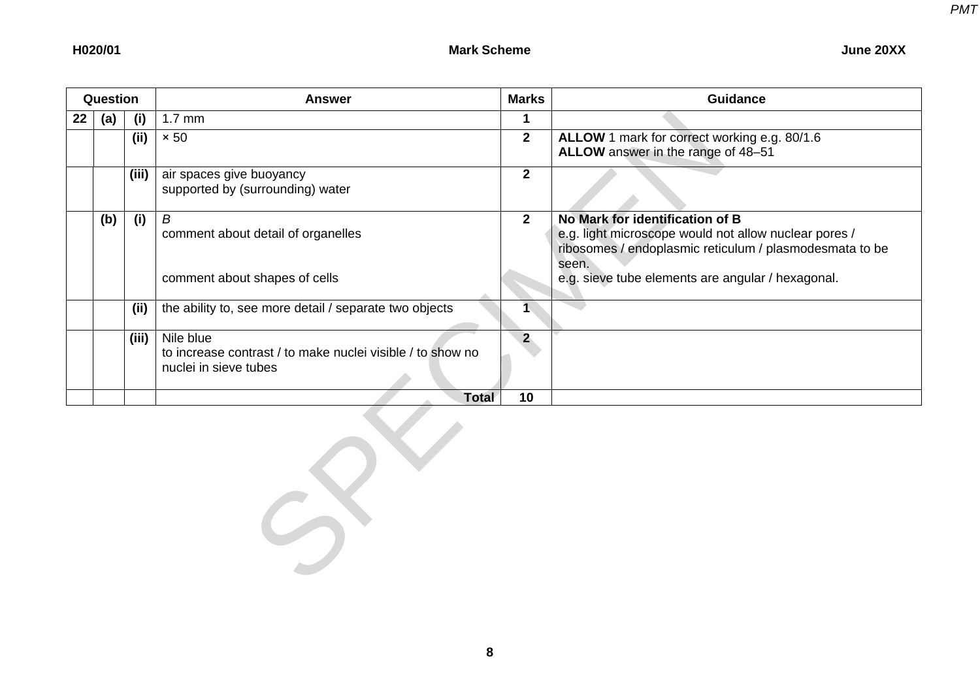|  | <b>June 20XX</b> |
|--|------------------|
|--|------------------|

| Question |     |       | <b>Answer</b>                                                                                    | Marks        | <b>Guidance</b>                                                                                                                                              |
|----------|-----|-------|--------------------------------------------------------------------------------------------------|--------------|--------------------------------------------------------------------------------------------------------------------------------------------------------------|
| $22 \,$  | (a) | (i)   | $1.7 \text{ mm}$                                                                                 |              |                                                                                                                                                              |
|          |     | (ii)  | $\times 50$                                                                                      | $\mathbf{2}$ | ALLOW 1 mark for correct working e.g. 80/1.6<br>ALLOW answer in the range of 48-51                                                                           |
|          |     | (iii) | air spaces give buoyancy<br>supported by (surrounding) water                                     | $\mathbf{2}$ |                                                                                                                                                              |
|          | (b) | (i)   | B<br>comment about detail of organelles                                                          | $\mathbf{2}$ | No Mark for identification of B<br>e.g. light microscope would not allow nuclear pores /<br>ribosomes / endoplasmic reticulum / plasmodesmata to be<br>seen. |
|          |     |       | comment about shapes of cells                                                                    |              | e.g. sieve tube elements are angular / hexagonal.                                                                                                            |
|          |     | (ii)  | the ability to, see more detail / separate two objects                                           |              |                                                                                                                                                              |
|          |     | (iii) | Nile blue<br>to increase contrast / to make nuclei visible / to show no<br>nuclei in sieve tubes | $\mathbf{P}$ |                                                                                                                                                              |
|          |     |       | <b>Total</b>                                                                                     | 10           |                                                                                                                                                              |

 $S$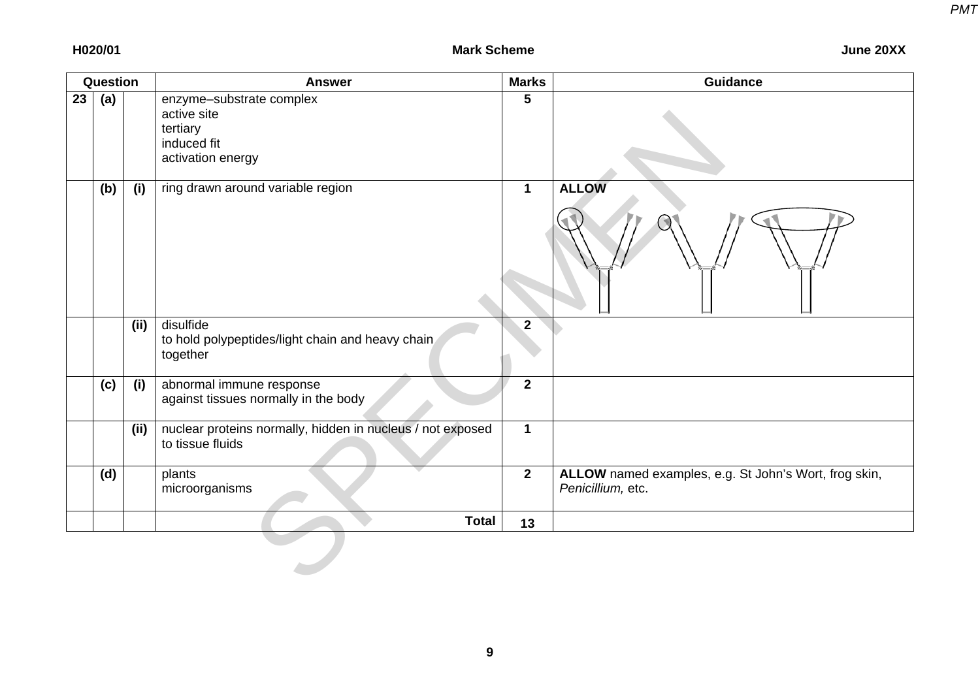|    | Question |      | <b>Answer</b>                                                                           | <b>Marks</b>   | <b>Guidance</b>                                                            |
|----|----------|------|-----------------------------------------------------------------------------------------|----------------|----------------------------------------------------------------------------|
| 23 | (a)      |      | enzyme-substrate complex<br>active site<br>tertiary<br>induced fit<br>activation energy | 5              |                                                                            |
|    | (b)      | (i)  | ring drawn around variable region                                                       | $\mathbf 1$    | <b>ALLOW</b>                                                               |
|    |          | (ii) | disulfide<br>to hold polypeptides/light chain and heavy chain<br>together               | $\overline{2}$ |                                                                            |
|    | (c)      | (i)  | abnormal immune response<br>against tissues normally in the body                        | $\mathbf{2}$   |                                                                            |
|    |          | (ii) | nuclear proteins normally, hidden in nucleus / not exposed<br>to tissue fluids          | $\mathbf 1$    |                                                                            |
|    | (d)      |      | plants<br>microorganisms                                                                | $2^{\circ}$    | ALLOW named examples, e.g. St John's Wort, frog skin,<br>Penicillium, etc. |
|    |          |      | <b>Total</b>                                                                            | 13             |                                                                            |
|    |          |      |                                                                                         |                |                                                                            |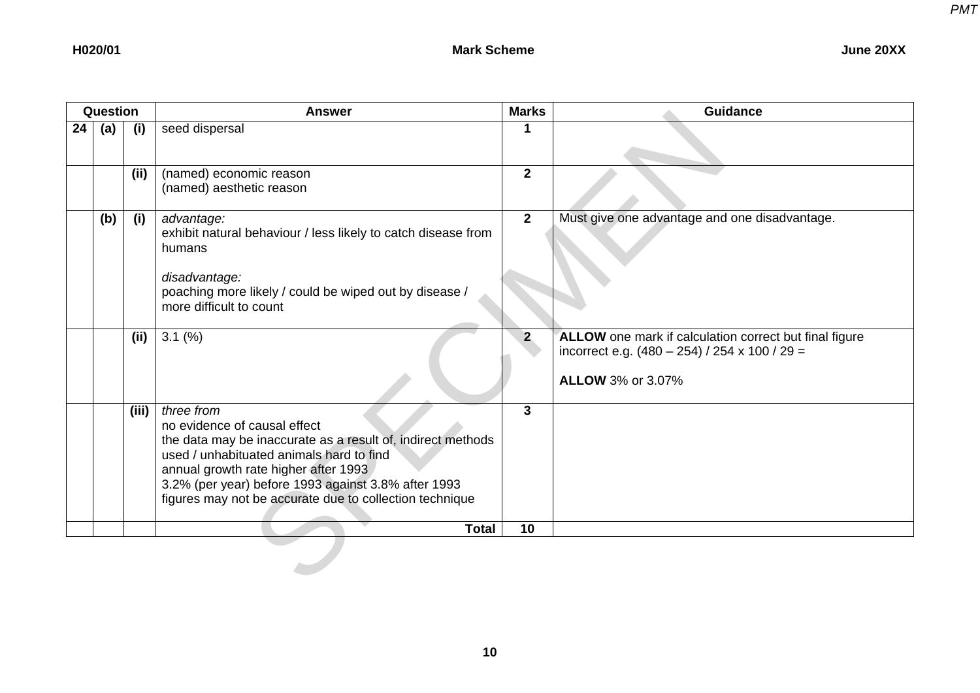|    | Question |       | <b>Answer</b>                                                                                                                                                                                                                                                                                                   | <b>Marks</b>   | <b>Guidance</b>                                                                                                                       |
|----|----------|-------|-----------------------------------------------------------------------------------------------------------------------------------------------------------------------------------------------------------------------------------------------------------------------------------------------------------------|----------------|---------------------------------------------------------------------------------------------------------------------------------------|
| 24 | (a)      | (i)   | seed dispersal                                                                                                                                                                                                                                                                                                  | 1              |                                                                                                                                       |
|    |          | (ii)  | (named) economic reason<br>(named) aesthetic reason                                                                                                                                                                                                                                                             | $\overline{2}$ |                                                                                                                                       |
|    | (b)      | (i)   | advantage:<br>exhibit natural behaviour / less likely to catch disease from<br>humans<br>disadvantage:<br>poaching more likely / could be wiped out by disease /<br>more difficult to count                                                                                                                     | $\overline{2}$ | Must give one advantage and one disadvantage.                                                                                         |
|    |          | (ii)  | $3.1\ (%)$                                                                                                                                                                                                                                                                                                      | 2 <sub>2</sub> | ALLOW one mark if calculation correct but final figure<br>incorrect e.g. $(480 - 254)$ / 254 x 100 / 29 =<br><b>ALLOW 3% or 3.07%</b> |
|    |          | (iii) | three from<br>no evidence of causal effect<br>the data may be inaccurate as a result of, indirect methods<br>used / unhabituated animals hard to find<br>annual growth rate higher after 1993<br>3.2% (per year) before 1993 against 3.8% after 1993<br>figures may not be accurate due to collection technique | $\mathbf{3}$   |                                                                                                                                       |
|    |          |       | <b>Total</b>                                                                                                                                                                                                                                                                                                    | 10             |                                                                                                                                       |
|    |          |       |                                                                                                                                                                                                                                                                                                                 |                |                                                                                                                                       |